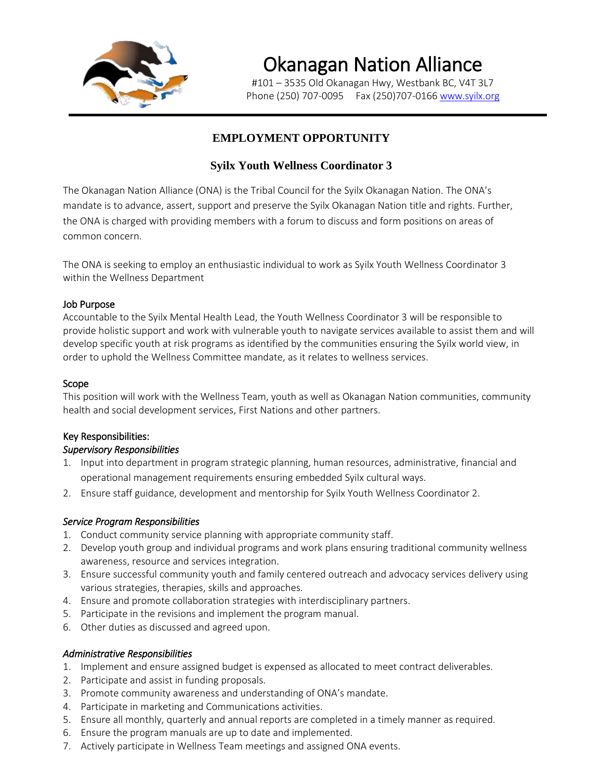

# Okanagan Nation Alliance

#101 – 3535 Old Okanagan Hwy, Westbank BC, V4T 3L7 Phone (250) 707-0095 Fax (250) 707-0166 [www.syilx.org](http://www.syilx.org/)

# **EMPLOYMENT OPPORTUNITY**

## **Syilx Youth Wellness Coordinator 3**

The Okanagan Nation Alliance (ONA) is the Tribal Council for the Syilx Okanagan Nation. The ONA's mandate is to advance, assert, support and preserve the Syilx Okanagan Nation title and rights. Further, the ONA is charged with providing members with a forum to discuss and form positions on areas of common concern.

The ONA is seeking to employ an enthusiastic individual to work as Syilx Youth Wellness Coordinator 3 within the Wellness Department

## Job Purpose

Accountable to the Syilx Mental Health Lead, the Youth Wellness Coordinator 3 will be responsible to provide holistic support and work with vulnerable youth to navigate services available to assist them and will develop specific youth at risk programs as identified by the communities ensuring the Syilx world view, in order to uphold the Wellness Committee mandate, as it relates to wellness services.

## Scope

This position will work with the Wellness Team, youth as well as Okanagan Nation communities, community health and social development services, First Nations and other partners.

## Key Responsibilities:

## *Supervisory Responsibilities*

- 1. Input into department in program strategic planning, human resources, administrative, financial and operational management requirements ensuring embedded Syilx cultural ways.
- 2. Ensure staff guidance, development and mentorship for Syilx Youth Wellness Coordinator 2.

## *Service Program Responsibilities*

- 1. Conduct community service planning with appropriate community staff.
- 2. Develop youth group and individual programs and work plans ensuring traditional community wellness awareness, resource and services integration.
- 3. Ensure successful community youth and family centered outreach and advocacy services delivery using various strategies, therapies, skills and approaches.
- 4. Ensure and promote collaboration strategies with interdisciplinary partners.
- 5. Participate in the revisions and implement the program manual.
- 6. Other duties as discussed and agreed upon.

### *Administrative Responsibilities*

- 1. Implement and ensure assigned budget is expensed as allocated to meet contract deliverables.
- 2. Participate and assist in funding proposals.
- 3. Promote community awareness and understanding of ONA's mandate.
- 4. Participate in marketing and Communications activities.
- 5. Ensure all monthly, quarterly and annual reports are completed in a timely manner as required.
- 6. Ensure the program manuals are up to date and implemented.
- 7. Actively participate in Wellness Team meetings and assigned ONA events.